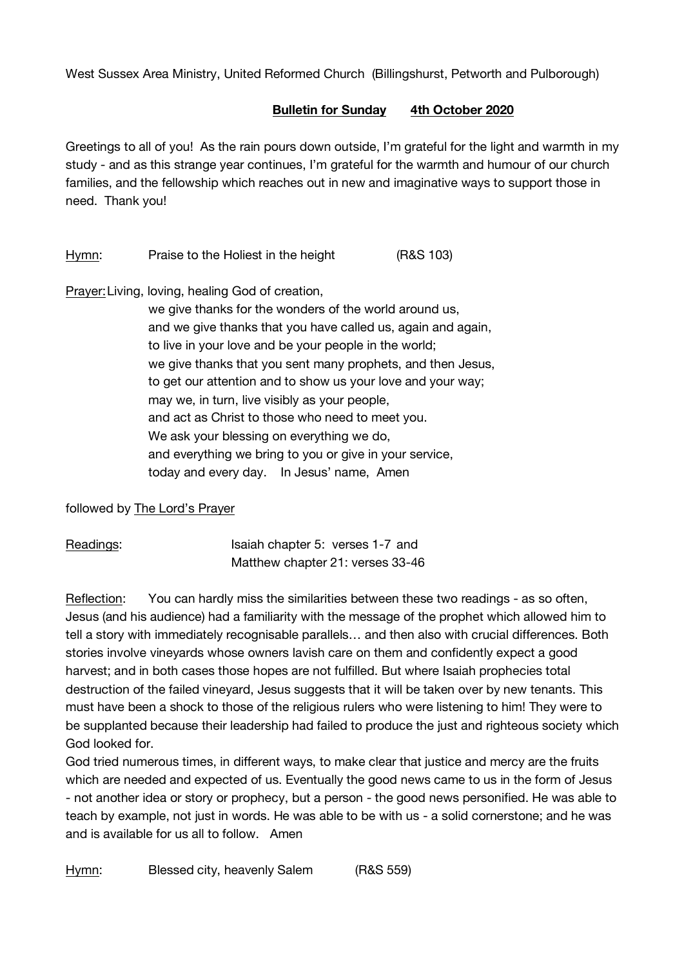West Sussex Area Ministry, United Reformed Church (Billingshurst, Petworth and Pulborough)

## **Bulletin for Sunday 4th October 2020**

Greetings to all of you! As the rain pours down outside, I'm grateful for the light and warmth in my study - and as this strange year continues, I'm grateful for the warmth and humour of our church families, and the fellowship which reaches out in new and imaginative ways to support those in need. Thank you!

Hymn: Praise to the Holiest in the height (R&S 103)

Prayer:Living, loving, healing God of creation,

we give thanks for the wonders of the world around us, and we give thanks that you have called us, again and again, to live in your love and be your people in the world; we give thanks that you sent many prophets, and then Jesus, to get our attention and to show us your love and your way; may we, in turn, live visibly as your people, and act as Christ to those who need to meet you. We ask your blessing on everything we do. and everything we bring to you or give in your service, today and every day. In Jesus' name, Amen

followed by The Lord's Prayer

Readings: Isaiah chapter 5: verses 1-7 and Matthew chapter 21: verses 33-46

Reflection: You can hardly miss the similarities between these two readings - as so often, Jesus (and his audience) had a familiarity with the message of the prophet which allowed him to tell a story with immediately recognisable parallels… and then also with crucial differences. Both stories involve vineyards whose owners lavish care on them and confidently expect a good harvest; and in both cases those hopes are not fulfilled. But where Isaiah prophecies total destruction of the failed vineyard, Jesus suggests that it will be taken over by new tenants. This must have been a shock to those of the religious rulers who were listening to him! They were to be supplanted because their leadership had failed to produce the just and righteous society which God looked for.

God tried numerous times, in different ways, to make clear that justice and mercy are the fruits which are needed and expected of us. Eventually the good news came to us in the form of Jesus - not another idea or story or prophecy, but a person - the good news personified. He was able to teach by example, not just in words. He was able to be with us - a solid cornerstone; and he was and is available for us all to follow. Amen

Hymn: Blessed city, heavenly Salem (R&S 559)